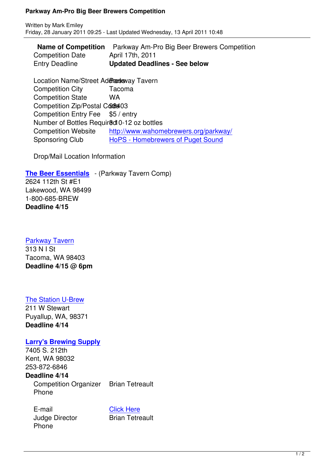|                         | <b>Name of Competition</b> Parkway Am-Pro Big Beer Brewers Competition |
|-------------------------|------------------------------------------------------------------------|
| <b>Competition Date</b> | April 17th, 2011                                                       |
| <b>Entry Deadline</b>   | <b>Updated Deadlines - See below</b>                                   |

Location Name/Street Addressway Tavern Competition City Tacoma Competition State WA Competition Zip/Postal Code 403 Competition Entry Fee \$5 / entry Number of Bottles Required 0-12 oz bottles Competition Website http://www.wahomebrewers.org/parkway/ Sponsoring Club HoPS - Homebrewers of Puget Sound

Drop/Mail Location Infor[mation](parkway/)

**The Beer Essentials** - (Pa[rkway Tavern Comp\)](http://www.hopsclub.com/) 2624 112th St #E1 Lakewood, WA 98499 [1-800-685-BREW](http://www.thebeeressentials.com/) **Deadline 4/15**

## Parkway Tavern

313 N I St Tacoma, WA 98403 **[Deadline 4/15 @](http://www.facebook.com/pages/Parkway-Tavern/249002027590) 6pm**

## The Station U-Brew

211 W Stewart Puyallup, WA, 98371 **[Deadline 4/14](http://thestationubrew.com/)**

## **Larry's Brewing Supply**

7405 S. 212th Kent, WA 98032 [253-872-6846](http://www.larrysbrewsupply.com/) **Deadline 4/14** Competition Organizer Brian Tetreault Phone

E-mail Click Here Judge Director **Brian Tetreault** Phone